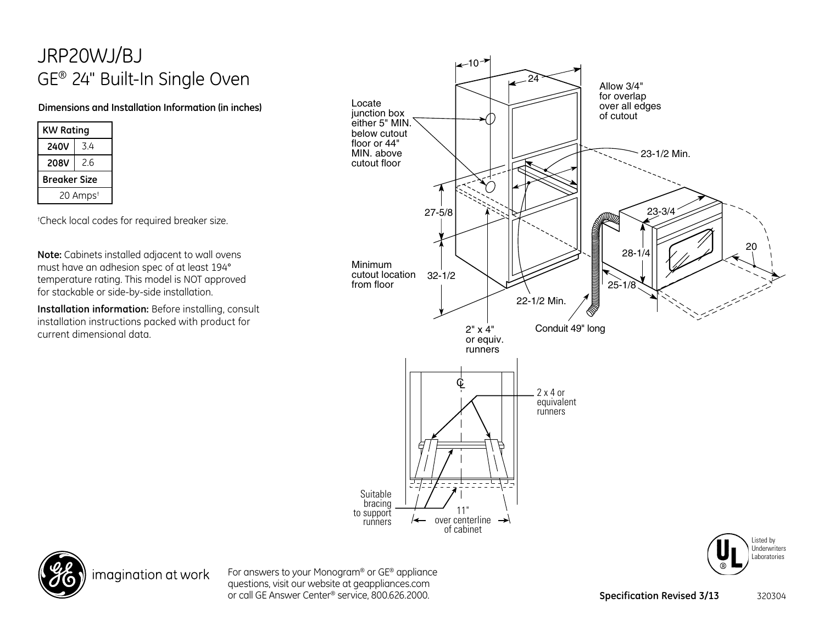## JRP20WJ/BJ GE® 24" Built-In Single Oven

## **Dimensions and Installation Information (in inches)**

| KW Rating            |     |
|----------------------|-----|
| <b>240V</b>          | 34  |
| 208V                 | 2.6 |
| Breaker Size         |     |
| 20 Amps <sup>t</sup> |     |

† Check local codes for required breaker size.

**Note:** Cabinets installed adjacent to wall ovens must have an adhesion spec of at least 194° temperature rating. This model is NOT approved for stackable or side-by-side installation.

**Installation information:** Before installing, consult installation instructions packed with product for current dimensional data.







For answers to your Monogram® or GE® appliance questions, visit our website at geappliances.com or call GE Answer Center® service, 800.626.2000. **Specification Revised 3/13** 320304